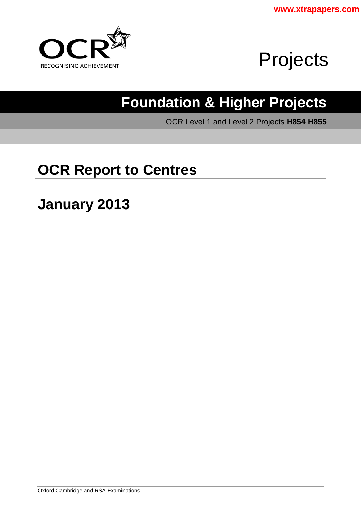



# **Foundation & Higher Projects**

OCR Level 1 and Level 2 Projects **H854 H855** 

# **OCR Report to Centres**

**January 2013**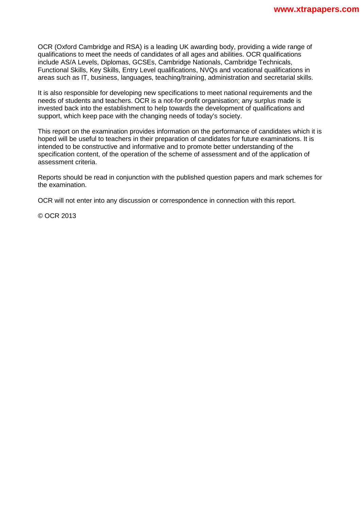OCR (Oxford Cambridge and RSA) is a leading UK awarding body, providing a wide range of qualifications to meet the needs of candidates of all ages and abilities. OCR qualifications include AS/A Levels, Diplomas, GCSEs, Cambridge Nationals, Cambridge Technicals, Functional Skills, Key Skills, Entry Level qualifications, NVQs and vocational qualifications in areas such as IT, business, languages, teaching/training, administration and secretarial skills.

It is also responsible for developing new specifications to meet national requirements and the needs of students and teachers. OCR is a not-for-profit organisation; any surplus made is invested back into the establishment to help towards the development of qualifications and support, which keep pace with the changing needs of today's society.

This report on the examination provides information on the performance of candidates which it is hoped will be useful to teachers in their preparation of candidates for future examinations. It is intended to be constructive and informative and to promote better understanding of the specification content, of the operation of the scheme of assessment and of the application of assessment criteria.

Reports should be read in conjunction with the published question papers and mark schemes for the examination.

OCR will not enter into any discussion or correspondence in connection with this report.

© OCR 2013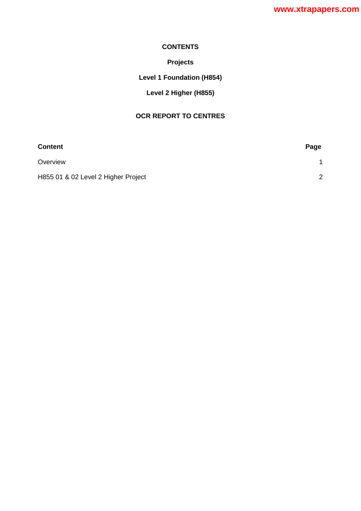#### **CONTENTS**

## **Projects**

## **Level 1 Foundation (H854)**

## **Level 2 Higher (H855)**

### **OCR REPORT TO CENTRES**

| <b>Content</b>                      | Page          |
|-------------------------------------|---------------|
| Overview                            |               |
| H855 01 & 02 Level 2 Higher Project | $\mathcal{P}$ |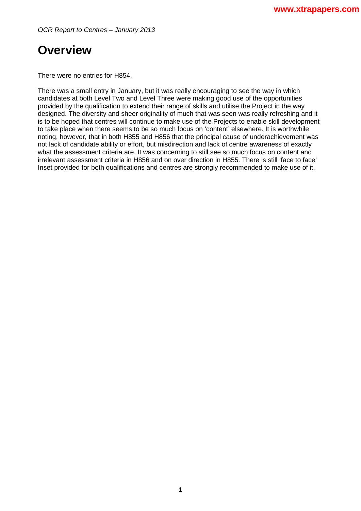*OCR Report to Centres – January 2013*

# <span id="page-3-0"></span>**Overview**

There were no entries for H854.

There was a small entry in January, but it was really encouraging to see the way in which candidates at both Level Two and Level Three were making good use of the opportunities provided by the qualification to extend their range of skills and utilise the Project in the way designed. The diversity and sheer originality of much that was seen was really refreshing and it is to be hoped that centres will continue to make use of the Projects to enable skill development to take place when there seems to be so much focus on 'content' elsewhere. It is worthwhile noting, however, that in both H855 and H856 that the principal cause of underachievement was not lack of candidate ability or effort, but misdirection and lack of centre awareness of exactly what the assessment criteria are. It was concerning to still see so much focus on content and irrelevant assessment criteria in H856 and on over direction in H855. There is still 'face to face' Inset provided for both qualifications and centres are strongly recommended to make use of it.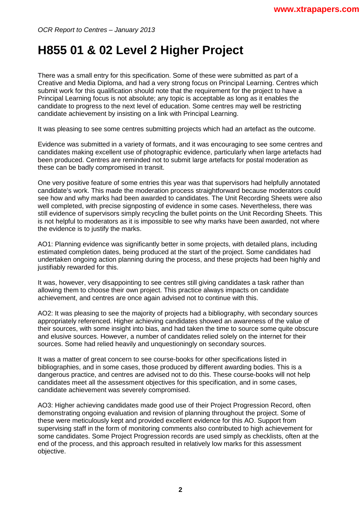# <span id="page-4-0"></span>**H855 01 & 02 Level 2 Higher Project**

There was a small entry for this specification. Some of these were submitted as part of a Creative and Media Diploma, and had a very strong focus on Principal Learning. Centres which submit work for this qualification should note that the requirement for the project to have a Principal Learning focus is not absolute; any topic is acceptable as long as it enables the candidate to progress to the next level of education. Some centres may well be restricting candidate achievement by insisting on a link with Principal Learning.

It was pleasing to see some centres submitting projects which had an artefact as the outcome.

Evidence was submitted in a variety of formats, and it was encouraging to see some centres and candidates making excellent use of photographic evidence, particularly when large artefacts had been produced. Centres are reminded not to submit large artefacts for postal moderation as these can be badly compromised in transit.

One very positive feature of some entries this year was that supervisors had helpfully annotated candidate's work. This made the moderation process straightforward because moderators could see how and why marks had been awarded to candidates. The Unit Recording Sheets were also well completed, with precise signposting of evidence in some cases. Nevertheless, there was still evidence of supervisors simply recycling the bullet points on the Unit Recording Sheets. This is not helpful to moderators as it is impossible to see why marks have been awarded, not where the evidence is to justify the marks.

AO1: Planning evidence was significantly better in some projects, with detailed plans, including estimated completion dates, being produced at the start of the project. Some candidates had undertaken ongoing action planning during the process, and these projects had been highly and justifiably rewarded for this.

It was, however, very disappointing to see centres still giving candidates a task rather than allowing them to choose their own project. This practice always impacts on candidate achievement, and centres are once again advised not to continue with this.

AO2: It was pleasing to see the majority of projects had a bibliography, with secondary sources appropriately referenced. Higher achieving candidates showed an awareness of the value of their sources, with some insight into bias, and had taken the time to source some quite obscure and elusive sources. However, a number of candidates relied solely on the internet for their sources. Some had relied heavily and unquestioningly on secondary sources.

It was a matter of great concern to see course-books for other specifications listed in bibliographies, and in some cases, those produced by different awarding bodies. This is a dangerous practice, and centres are advised not to do this. These course-books will not help candidates meet all the assessment objectives for this specification, and in some cases, candidate achievement was severely compromised.

AO3: Higher achieving candidates made good use of their Project Progression Record, often demonstrating ongoing evaluation and revision of planning throughout the project. Some of these were meticulously kept and provided excellent evidence for this AO. Support from supervising staff in the form of monitoring comments also contributed to high achievement for some candidates. Some Project Progression records are used simply as checklists, often at the end of the process, and this approach resulted in relatively low marks for this assessment objective.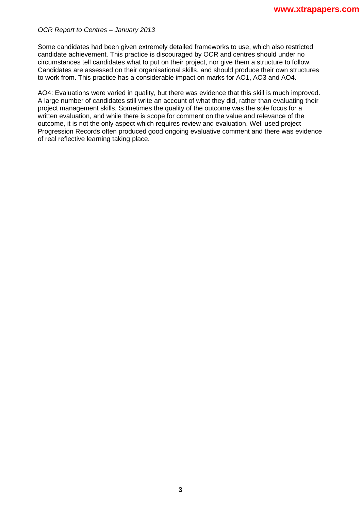#### *OCR Report to Centres – January 2013*

Some candidates had been given extremely detailed frameworks to use, which also restricted candidate achievement. This practice is discouraged by OCR and centres should under no circumstances tell candidates what to put on their project, nor give them a structure to follow. Candidates are assessed on their organisational skills, and should produce their own structures to work from. This practice has a considerable impact on marks for AO1, AO3 and AO4.

AO4: Evaluations were varied in quality, but there was evidence that this skill is much improved. A large number of candidates still write an account of what they did, rather than evaluating their project management skills. Sometimes the quality of the outcome was the sole focus for a written evaluation, and while there is scope for comment on the value and relevance of the outcome, it is not the only aspect which requires review and evaluation. Well used project Progression Records often produced good ongoing evaluative comment and there was evidence of real reflective learning taking place.